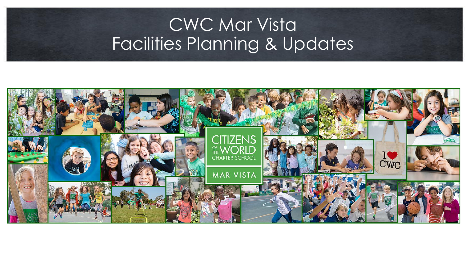# CWC Mar Vista<br>Facilities Planning & Updates

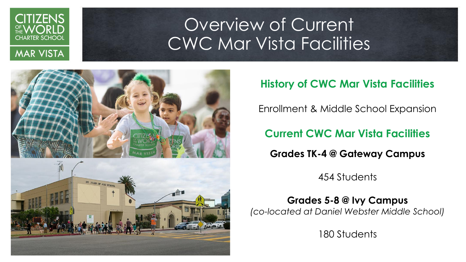

#### OUR OF CUR<br>Dividin En Overview of Current CWC Mar Vista Facilities



#### **History of CWC Mar Vista Facilities**

Enrollment & Middle School Expansion

#### **Current CWC Mar Vista Facilities**

**Grades TK-4 @ Gateway Campus**

454 Students

**Grades 5-8 @ Ivy Campus**  *(co-located at Daniel Webster Middle School)*

180 Students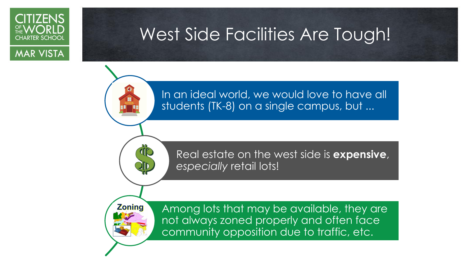

### West Side Facilities Are Tough!

In an ideal world, we would love to have all students (TK-8) on a single campus, but ...

Real estate on the west side is **expensive**,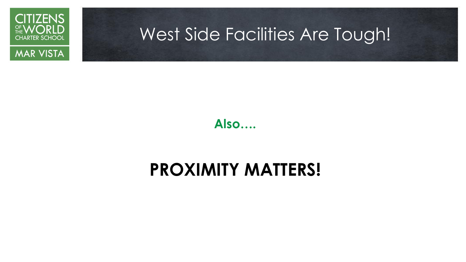

### West Side Facilities Are Tough!

**Also….**

### **PROXIMITY MATTERS!**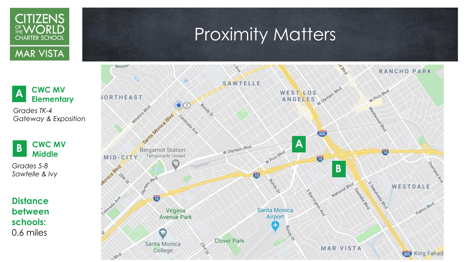

### Proximity Matters



**A Elementary** *Grades TK-4 Gateway & Exposition* 

**CWC MV** 

**B CWC MV Middle** 

*Grades 5-8 Sawtelle & Ivy* 

**Distance between schools:** 0.6 miles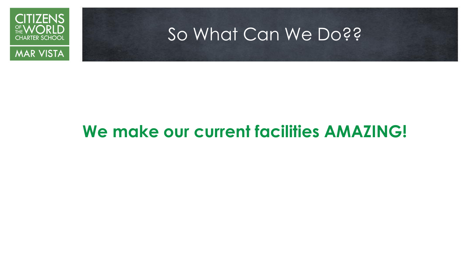



### So What Can We Do??

### **We make our current facilities AMAZING!**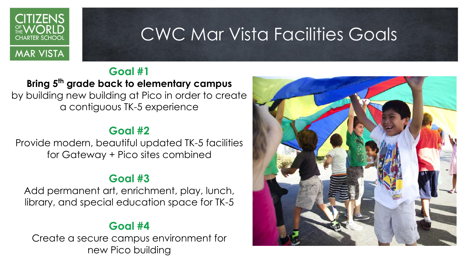

### CWC Mar Vista Facilities Goals

#### **Goal #1**

**Bring 5th grade back to elementary campus**  by building new building at Pico in order to create a contiguous TK-5 experience

#### **Goal #2**

Provide modern, beautiful updated TK-5 facilities for Gateway + Pico sites combined

#### **Goal #3**

Add permanent art, enrichment, play, lunch, library, and special education space for TK-5

#### **Goal #4**

Create a secure campus environment for new Pico building

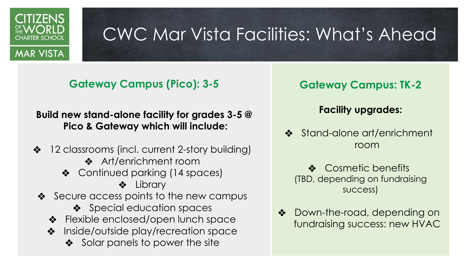

## CWC Mar Vista Facilities: What's Ahead

**Gateway Campus (Pico): 3-5**

**Build new stand-alone facility for grades 3-5 @ Pico & Gateway which will include:**

- ❖ 12 classrooms (incl. current 2-story building)
	- ❖ Art/enrichment room
	- ❖ Continued parking (14 spaces)

❖ Library

- ❖ Secure access points to the new campus
	- ❖ Special education spaces
	- ❖ Flexible enclosed/open lunch space
	- ❖ Inside/outside play/recreation space
		- ❖ Solar panels to power the site

#### **Gateway Campus: TK-2**

#### **Facility upgrades:**

- ❖ Stand-alone art/enrichment room
	- ❖ Cosmetic benefits (TBD, depending on fundraising success)
- ❖ Down-the-road, depending on fundraising success: new HVAC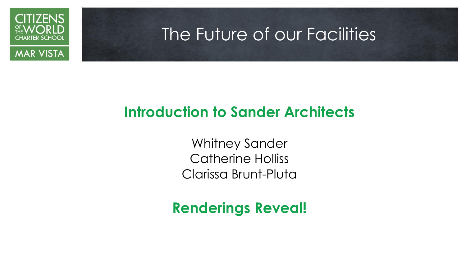

### The Future of our Facilities



### **Introduction to Sander Architects**

Whitney Sander Catherine Holliss Clarissa Brunt-Pluta

### **Renderings Reveal!**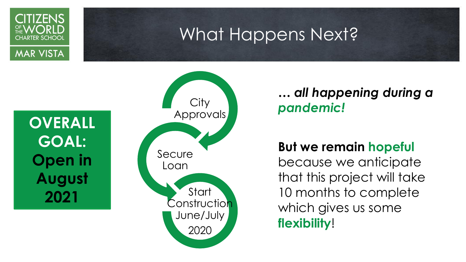### What Happens Next?



**CITIZENS** 

CHARTER SCHOOI

**OVERALL GOAL: Open in August 2021**



### *… all happening during a pandemic!*

#### **But we remain hopeful**

because we anticipate that this project will take 10 months to complete which gives us some **flexibility**!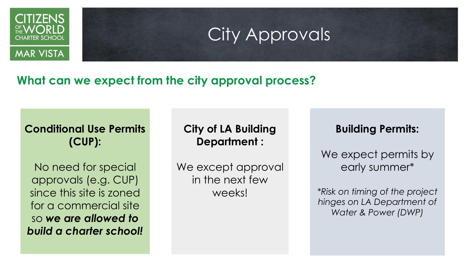

### City Approvals

#### **What can we expect from the city approval process?**

#### **Conditional Use Permits (CUP):**

No need for special approvals (e.g. CUP) since this site is zoned for a commercial site so *we are allowed to build a charter school!*

#### **City of LA Building Department :**

We except approval in the next few weeks!

#### **Building Permits:**

We expect permits by early summer\*

*\*Risk on timing of the project hinges on LA Department of Water & Power (DWP)*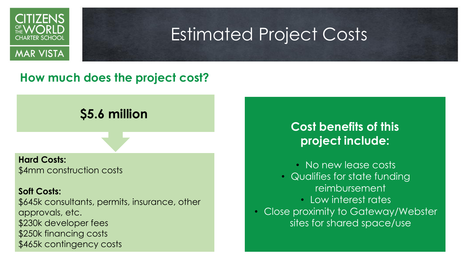

### Estimated Project Costs

#### **How much does the project cost?**

#### **\$5.6 million**

**Hard Costs:** \$4mm construction costs

#### **Soft Costs:**

\$645k consultants, permits, insurance, other approvals, etc. \$230k developer fees \$250k financing costs \$465k contingency costs

#### **Cost benefits of this project include:**

- No new lease costs
- Qualifies for state funding reimbursement
	- Low interest rates
- Close proximity to Gateway/Webster sites for shared space/use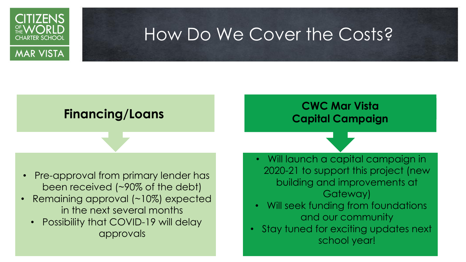

### How Do We Cover the Costs?

- Pre-approval from primary lender has been received (~90% of the debt)
- Remaining approval (~10%) expected in the next several months
	- Possibility that COVID-19 will delay approvals

#### **Financing/Loans CWC Mar Vista Capital Campaign**

- Will launch a capital campaign in 2020-21 to support this project (new building and improvements at Gateway)
- Will seek funding from foundations and our community
- Stay tuned for exciting updates next school year!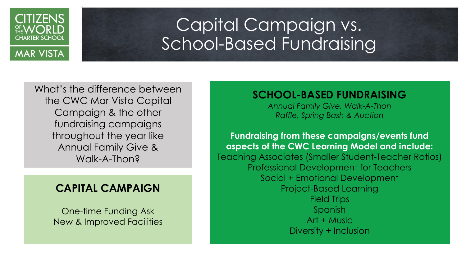

#### Capital Campaign vs.<br>School Rasod Eundraising Capital Campaign vs. School-Based Fundraising

What's the difference between the CWC Mar Vista Capital Campaign & the other fundraising campaigns throughout the year like Annual Family Give & Walk-A-Thon?

#### **CAPITAL CAMPAIGN**

One-time Funding Ask New & Improved Facilities

#### **SCHOOL-BASED FUNDRAISING**

*Annual Family Give, Walk-A-Thon Raffle, Spring Bash & Auction*

**Fundraising from these campaigns/events fund aspects of the CWC Learning Model and include:** Teaching Associates (Smaller Student-Teacher Ratios) Professional Development for Teachers Social + Emotional Development Project-Based Learning Field Trips Spanish Art + Music Diversity + Inclusion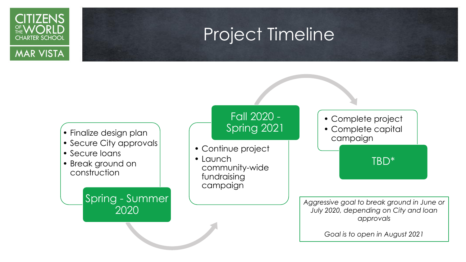

### **Project Timeline**

#### • Finalize design plan

- Secure City approvals
- Secure loans
- Break ground on construction

Spring - Summer 2020

#### Fall 2020 - Spring 2021

- Continue project
- Launch community-wide fundraising campaign

• Complete project

• Complete capital campaign

TBD\*

*Aggressive goal to break ground in June or July 2020, depending on City and loan approvals*

*Goal is to open in August 2021*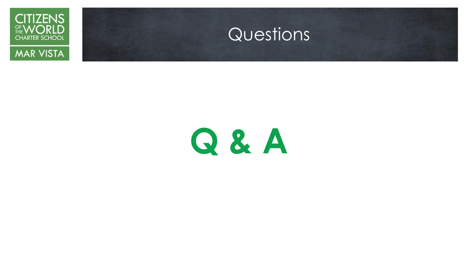